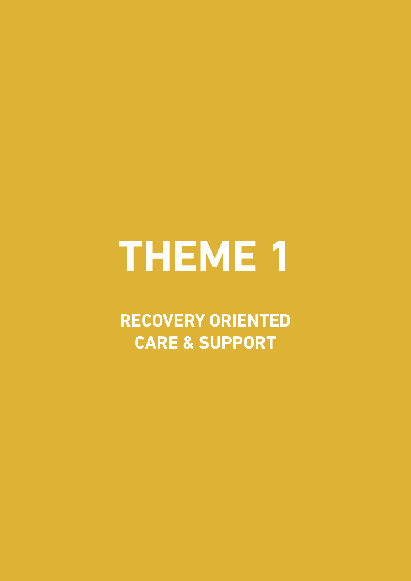# **THEME 1**

**RECOvERY ORIENTED CARE & SuPPORT**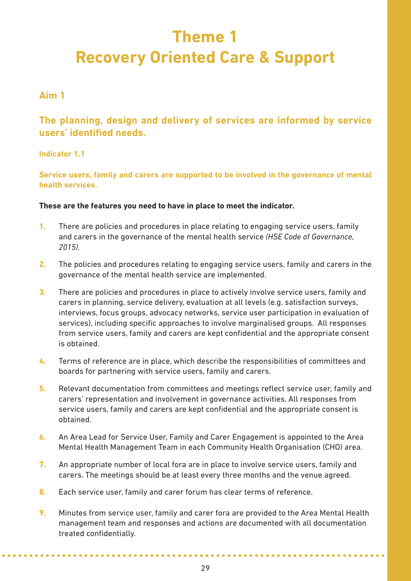# **Theme 1 Recovery Oriented Care & Support**

# **Aim 1**

**The planning, design and delivery of services are informed by service users' identified needs.**

#### **Indicator 1.1**

**Service users, family and carers are supported to be involved in the governance of mental health services.** 

#### **These are the features you need to have in place to meet the indicator.**

- **1.** There are policies and procedures in place relating to engaging service users, family and carers in the governance of the mental health service *(HSE Code of Governance, 2015).*
- **2.** The policies and procedures relating to engaging service users, family and carers in the governance of the mental health service are implemented.
- **3.** There are policies and procedures in place to actively involve service users, family and carers in planning, service delivery, evaluation at all levels (e.g. satisfaction surveys, interviews, focus groups, advocacy networks, service user participation in evaluation of services), including specific approaches to involve marginalised groups. All responses from service users, family and carers are kept confidential and the appropriate consent is obtained.
- **4.** Terms of reference are in place, which describe the responsibilities of committees and boards for partnering with service users, family and carers.
- **5.** Relevant documentation from committees and meetings reflect service user, family and carers' representation and involvement in governance activities. All responses from service users, family and carers are kept confidential and the appropriate consent is obtained.
- **6.** An Area Lead for Service User, Family and Carer Engagement is appointed to the Area Mental Health Management Team in each Community Health Organisation (CHO) area.
- **7.** An appropriate number of local fora are in place to involve service users, family and carers. The meetings should be at least every three months and the venue agreed.
- **8.** Each service user, family and carer forum has clear terms of reference.
- **9.** Minutes from service user, family and carer fora are provided to the Area Mental Health management team and responses and actions are documented with all documentation treated confidentially.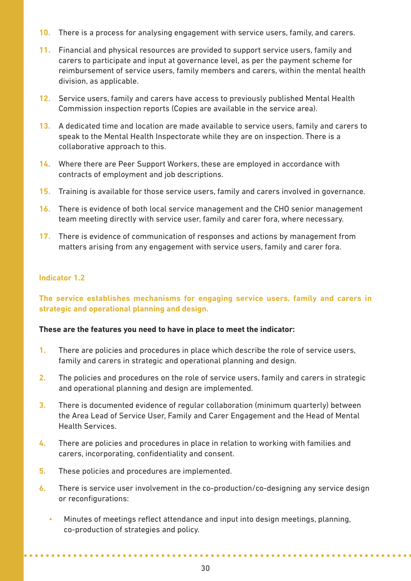- **10.** There is a process for analysing engagement with service users, family, and carers.
- **11.** Financial and physical resources are provided to support service users, family and carers to participate and input at governance level, as per the payment scheme for reimbursement of service users, family members and carers, within the mental health division, as applicable.
- **12.** Service users, family and carers have access to previously published Mental Health Commission inspection reports (Copies are available in the service area).
- **13.** A dedicated time and location are made available to service users, family and carers to speak to the Mental Health Inspectorate while they are on inspection. There is a collaborative approach to this.
- **14.** Where there are Peer Support Workers, these are employed in accordance with contracts of employment and job descriptions.
- **15.** Training is available for those service users, family and carers involved in governance.
- **16.** There is evidence of both local service management and the CHO senior management team meeting directly with service user, family and carer fora, where necessary.
- **17.** There is evidence of communication of responses and actions by management from matters arising from any engagement with service users, family and carer fora.

#### **Indicator 1.2**

**The service establishes mechanisms for engaging service users, family and carers in strategic and operational planning and design.** 

#### **These are the features you need to have in place to meet the indicator:**

- **1.** There are policies and procedures in place which describe the role of service users, family and carers in strategic and operational planning and design.
- **2.** The policies and procedures on the role of service users, family and carers in strategic and operational planning and design are implemented.
- **3.** There is documented evidence of regular collaboration (minimum quarterly) between the Area Lead of Service User, Family and Carer Engagement and the Head of Mental Health Services.
- **4.** There are policies and procedures in place in relation to working with families and carers, incorporating, confidentiality and consent.
- **5.** These policies and procedures are implemented.
- **6.** There is service user involvement in the co-production/co-designing any service design or reconfigurations:
	- Minutes of meetings reflect attendance and input into design meetings, planning, co-production of strategies and policy.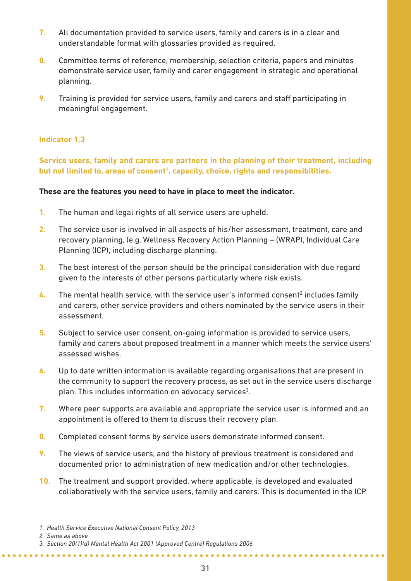- **7.** All documentation provided to service users, family and carers is in a clear and understandable format with glossaries provided as required.
- **8.** Committee terms of reference, membership, selection criteria, papers and minutes demonstrate service user, family and carer engagement in strategic and operational planning.
- **9.** Training is provided for service users, family and carers and staff participating in meaningful engagement.

#### **Indicator 1.3**

**Service users, family and carers are partners in the planning of their treatment, including** but not limited to, areas of consent<sup>1</sup>, capacity, choice, rights and responsibilities.

#### **These are the features you need to have in place to meet the indicator.**

- **1.** The human and legal rights of all service users are upheld.
- **2.** The service user is involved in all aspects of his/her assessment, treatment, care and recovery planning, (e.g. Wellness Recovery Action Planning – (WRAP), Individual Care Planning (ICP), including discharge planning.
- **3.** The best interest of the person should be the principal consideration with due regard given to the interests of other persons particularly where risk exists.
- **4.** The mental health service, with the service user's informed consent<sup>2</sup> includes family and carers, other service providers and others nominated by the service users in their assessment.
- **5.** Subject to service user consent, on-going information is provided to service users, family and carers about proposed treatment in a manner which meets the service users' assessed wishes.
- **6.** Up to date written information is available regarding organisations that are present in the community to support the recovery process, as set out in the service users discharge plan. This includes information on advocacy services<sup>3</sup>.
- **7.** Where peer supports are available and appropriate the service user is informed and an appointment is offered to them to discuss their recovery plan.
- **8.** Completed consent forms by service users demonstrate informed consent.
- **9.** The views of service users, and the history of previous treatment is considered and documented prior to administration of new medication and/or other technologies.
- **10.** The treatment and support provided, where applicable, is developed and evaluated collaboratively with the service users, family and carers. This is documented in the ICP.

*2. Same as above*

**\*\*\*\*\*\*\*\*\*\*\*\*\*\*\*\*** 

*<sup>1.</sup> Health Service Executive National Consent Policy, 2013*

*<sup>3.</sup> Section 20(1)(d) Mental Health Act 2001 (Approved Centre) Regulations 2006*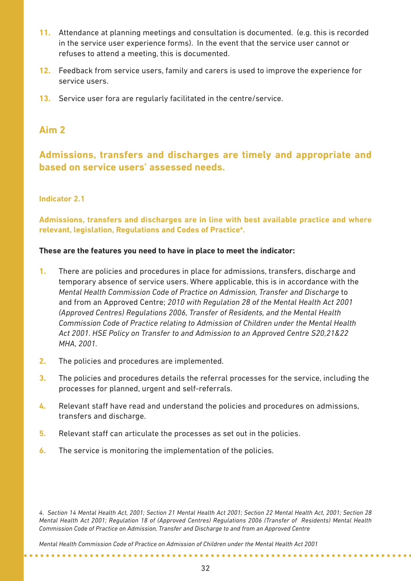- **11.** Attendance at planning meetings and consultation is documented. (e.g. this is recorded in the service user experience forms). In the event that the service user cannot or refuses to attend a meeting, this is documented.
- **12.** Feedback from service users, family and carers is used to improve the experience for service users.
- **13.** Service user fora are regularly facilitated in the centre/service.

**Admissions, transfers and discharges are timely and appropriate and based on service users' assessed needs.**

#### **Indicator 2.1**

**Admissions, transfers and discharges are in line with best available practice and where relevant, legislation, Regulations and Codes of Practice4.**

#### **These are the features you need to have in place to meet the indicator:**

- **1.** There are policies and procedures in place for admissions, transfers, discharge and temporary absence of service users. Where applicable, this is in accordance with the *Mental Health Commission Code of Practice on Admission, Transfer and Discharge* to and from an Approved Centre; *2010 with Regulation 28 of the Mental Health Act 2001 (Approved Centres) Regulations 2006, Transfer of Residents, and the Mental Health Commission Code of Practice relating to Admission of Children under the Mental Health Act 2001. HSE Policy on Transfer to and Admission to an Approved Centre S20,21&22 MHA, 2001.*
- **2.** The policies and procedures are implemented.
- **3.** The policies and procedures details the referral processes for the service, including the processes for planned, urgent and self-referrals.
- **4.** Relevant staff have read and understand the policies and procedures on admissions, transfers and discharge.
- **5.** Relevant staff can articulate the processes as set out in the policies.
- **6.** The service is monitoring the implementation of the policies.

. . . . . . . . . . . . . . . . . . . .

*4. Section 14 Mental Health Act, 2001; Section 21 Mental Health Act 2001; Section 22 Mental Health Act, 2001; Section 28 Mental Health Act 2001; Regulation 18 of (Approved Centres) Regulations 2006 (Transfer of Residents) Mental Health Commission Code of Practice on Admission, Transfer and Discharge to and from an Approved Centre* 

*Mental Health Commission Code of Practice on Admission of Children under the Mental Health Act 2001*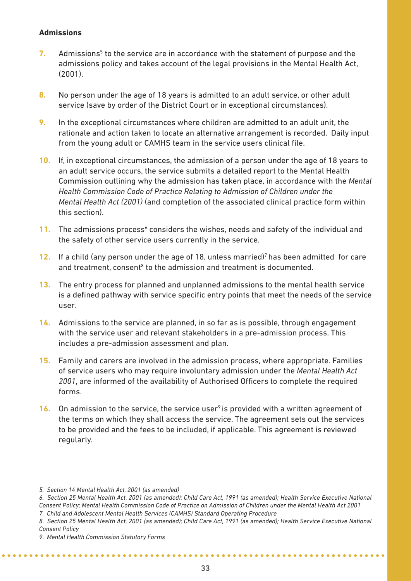#### **Admissions**

- **7.** Admissions<sup>5</sup> to the service are in accordance with the statement of purpose and the admissions policy and takes account of the legal provisions in the Mental Health Act, (2001).
- **8.** No person under the age of 18 years is admitted to an adult service, or other adult service (save by order of the District Court or in exceptional circumstances).
- **9.** In the exceptional circumstances where children are admitted to an adult unit, the rationale and action taken to locate an alternative arrangement is recorded. Daily input from the young adult or CAMHS team in the service users clinical file.
- **10.** If, in exceptional circumstances, the admission of a person under the age of 18 years to an adult service occurs, the service submits a detailed report to the Mental Health Commission outlining why the admission has taken place, in accordance with the *Mental Health Commission Code of Practice Relating to Admission of Children under the Mental Health Act (2001)* (and completion of the associated clinical practice form within this section).
- **11.** The admissions process<sup>6</sup> considers the wishes, needs and safety of the individual and the safety of other service users currently in the service.
- **12.** If a child (any person under the age of 18, unless married)7 has been admitted for care and treatment, consent $8$  to the admission and treatment is documented.
- **13.** The entry process for planned and unplanned admissions to the mental health service is a defined pathway with service specific entry points that meet the needs of the service user.
- **14.** Admissions to the service are planned, in so far as is possible, through engagement with the service user and relevant stakeholders in a pre-admission process. This includes a pre-admission assessment and plan.
- **15.** Family and carers are involved in the admission process, where appropriate. Families of service users who may require involuntary admission under the *Mental Health Act 2001*, are informed of the availability of Authorised Officers to complete the required forms.
- **16.** On admission to the service, the service user<sup>9</sup> is provided with a written agreement of the terms on which they shall access the service. The agreement sets out the services to be provided and the fees to be included, if applicable. This agreement is reviewed regularly.

*7. Child and Adolescent Mental Health Services (CAMHS) Standard Operating Procedure*

*<sup>5.</sup> Section 14 Mental Health Act, 2001 (as amended)* 

*<sup>6.</sup> Section 25 Mental Health Act, 2001 (as amended); Child Care Act, 1991 (as amended); Health Service Executive National Consent Policy; Mental Health Commission Code of Practice on Admission of Children under the Mental Health Act 2001*

*<sup>8.</sup> Section 25 Mental Health Act, 2001 (as amended); Child Care Act, 1991 (as amended); Health Service Executive National Consent Policy* 

*<sup>9.</sup> Mental Health Commission Statutory Forms*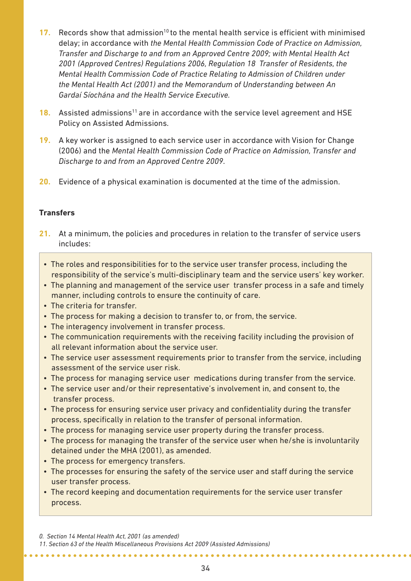- **17.** Records show that admission<sup>10</sup> to the mental health service is efficient with minimised delay; in accordance with *the Mental Health Commission Code of Practice on Admission, Transfer and Discharge to and from an Approved Centre 2009; with Mental Health Act 2001 (Approved Centres) Regulations 2006, Regulation 18 Transfer of Residents, the Mental Health Commission Code of Practice Relating to Admission of Children under the Mental Health Act (2001) and the Memorandum of Understanding between An Gardaí Síochána and the Health Service Executive.*
- **18.** Assisted admissions<sup>11</sup> are in accordance with the service level agreement and HSE Policy on Assisted Admissions.
- **19.** A key worker is assigned to each service user in accordance with Vision for Change (2006) and the *Mental Health Commission Code of Practice on Admission, Transfer and Discharge to and from an Approved Centre 2009*.
- **20.** Evidence of a physical examination is documented at the time of the admission.

#### **Transfers**

- **21.** At a minimum, the policies and procedures in relation to the transfer of service users includes:
	- The roles and responsibilities for to the service user transfer process, including the responsibility of the service's multi-disciplinary team and the service users' key worker.
	- The planning and management of the service user transfer process in a safe and timely manner, including controls to ensure the continuity of care.
	- The criteria for transfer.
	- The process for making a decision to transfer to, or from, the service.
	- The interagency involvement in transfer process.
	- The communication requirements with the receiving facility including the provision of all relevant information about the service user.
	- The service user assessment requirements prior to transfer from the service, including assessment of the service user risk.
	- The process for managing service user medications during transfer from the service.
	- The service user and/or their representative's involvement in, and consent to, the transfer process.
	- The process for ensuring service user privacy and confidentiality during the transfer process, specifically in relation to the transfer of personal information.
	- The process for managing service user property during the transfer process.
	- The process for managing the transfer of the service user when he/she is involuntarily detained under the MHA (2001), as amended.
	- The process for emergency transfers.
	- The processes for ensuring the safety of the service user and staff during the service user transfer process.
	- The record keeping and documentation requirements for the service user transfer process.

*11. Section 63 of the Health Miscellaneous Provisions Act 2009 (Assisted Admissions)*

**\*\*\*\*\*\*\*\*\*\*\*\*\*\*** 

*<sup>0.</sup> Section 14 Mental Health Act, 2001 (as amended)*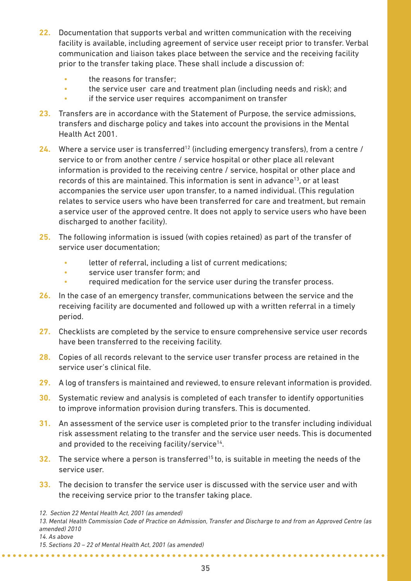- **22.** Documentation that supports verbal and written communication with the receiving facility is available, including agreement of service user receipt prior to transfer. Verbal communication and liaison takes place between the service and the receiving facility prior to the transfer taking place. These shall include a discussion of:
	- the reasons for transfer:
	- the service user care and treatment plan (including needs and risk); and
	- if the service user requires accompaniment on transfer
- **23.** Transfers are in accordance with the Statement of Purpose, the service admissions, transfers and discharge policy and takes into account the provisions in the Mental Health Act 2001.
- **24.** Where a service user is transferred<sup>12</sup> (including emergency transfers), from a centre / service to or from another centre / service hospital or other place all relevant information is provided to the receiving centre / service, hospital or other place and records of this are maintained. This information is sent in advance<sup>13</sup>, or at least accompanies the service user upon transfer, to a named individual. (This regulation relates to service users who have been transferred for care and treatment, but remain aservice user of the approved centre. It does not apply to service users who have been discharged to another facility).
- **25.** The following information is issued (with copies retained) as part of the transfer of service user documentation;
	- letter of referral, including a list of current medications;
	- service user transfer form; and
	- required medication for the service user during the transfer process.
- **26.** In the case of an emergency transfer, communications between the service and the receiving facility are documented and followed up with a written referral in a timely period.
- **27.** Checklists are completed by the service to ensure comprehensive service user records have been transferred to the receiving facility.
- **28.** Copies of all records relevant to the service user transfer process are retained in the service user's clinical file.
- **29.** A log of transfers is maintained and reviewed, to ensure relevant information is provided.
- **30.** Systematic review and analysis is completed of each transfer to identify opportunities to improve information provision during transfers. This is documented.
- **31.** An assessment of the service user is completed prior to the transfer including individual risk assessment relating to the transfer and the service user needs. This is documented and provided to the receiving facility/service<sup>14</sup>.
- **32.** The service where a person is transferred<sup>15</sup> to, is suitable in meeting the needs of the service user.
- **33.** The decision to transfer the service user is discussed with the service user and with the receiving service prior to the transfer taking place.

*14. As above*

*<sup>12.</sup> Section 22 Mental Health Act, 2001 (as amended)*

*<sup>13.</sup> Mental Health Commission Code of Practice on Admission, Transfer and Discharge to and from an Approved Centre (as amended) 2010*

*<sup>15.</sup> Sections 20 – 22 of Mental Health Act, 2001 (as amended)*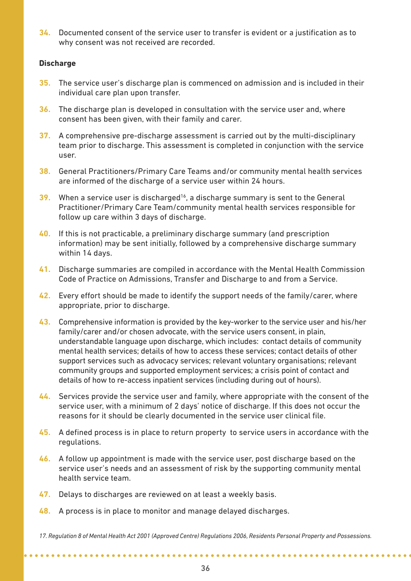**34.** Documented consent of the service user to transfer is evident or a justification as to why consent was not received are recorded.

#### **Discharge**

- **35.** The service user's discharge plan is commenced on admission and is included in their individual care plan upon transfer.
- **36.** The discharge plan is developed in consultation with the service user and, where consent has been given, with their family and carer.
- **37.** A comprehensive pre-discharge assessment is carried out by the multi-disciplinary team prior to discharge. This assessment is completed in conjunction with the service user.
- **38.** General Practitioners/Primary Care Teams and/or community mental health services are informed of the discharge of a service user within 24 hours.
- **39.** When a service user is discharged<sup>16</sup>, a discharge summary is sent to the General Practitioner/Primary Care Team/community mental health services responsible for follow up care within 3 days of discharge.
- **40.** If this is not practicable, a preliminary discharge summary (and prescription information) may be sent initially, followed by a comprehensive discharge summary within 14 days.
- **41.** Discharge summaries are compiled in accordance with the Mental Health Commission Code of Practice on Admissions, Transfer and Discharge to and from a Service.
- **42.** Every effort should be made to identify the support needs of the family/carer, where appropriate, prior to discharge.
- **43.** Comprehensive information is provided by the key-worker to the service user and his/her family/carer and/or chosen advocate, with the service users consent, in plain, understandable language upon discharge, which includes: contact details of community mental health services; details of how to access these services; contact details of other support services such as advocacy services; relevant voluntary organisations; relevant community groups and supported employment services; a crisis point of contact and details of how to re-access inpatient services (including during out of hours).
- **44.** Services provide the service user and family, where appropriate with the consent of the service user, with a minimum of 2 days' notice of discharge. If this does not occur the reasons for it should be clearly documented in the service user clinical file.
- **45.** A defined process is in place to return property to service users in accordance with the regulations.
- **46.** A follow up appointment is made with the service user, post discharge based on the service user's needs and an assessment of risk by the supporting community mental health service team.
- **47.** Delays to discharges are reviewed on at least a weekly basis.

. . . . . . . . . . . . . . . . . . .

**48.** A process is in place to monitor and manage delayed discharges.

*17. Regulation 8 of Mental Health Act 2001 (Approved Centre) Regulations 2006, Residents Personal Property and Possessions.*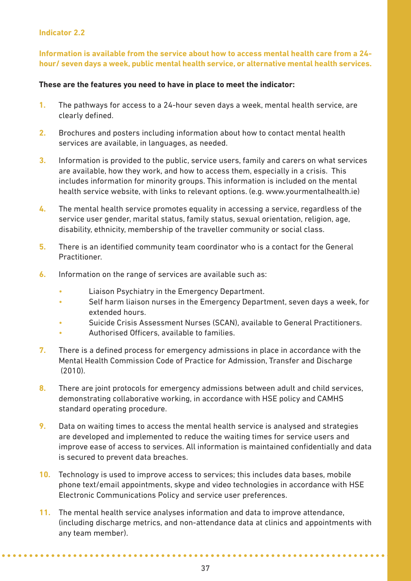#### **Indicator 2.2**

**Information is available from the service about how to access mental health care from a 24 hour/ seven days a week, public mental health service, or alternative mental health services.** 

#### **These are the features you need to have in place to meet the indicator:**

- **1.** The pathways for access to a 24-hour seven days a week, mental health service, are clearly defined.
- **2.** Brochures and posters including information about how to contact mental health services are available, in languages, as needed.
- **3.** Information is provided to the public, service users, family and carers on what services are available, how they work, and how to access them, especially in a crisis. This includes information for minority groups. This information is included on the mental health service website, with links to relevant options. (e.g. www.yourmentalhealth.ie)
- **4.** The mental health service promotes equality in accessing a service, regardless of the service user gender, marital status, family status, sexual orientation, religion, age, disability, ethnicity, membership of the traveller community or social class.
- **5.** There is an identified community team coordinator who is a contact for the General Practitioner.
- **6.** Information on the range of services are available such as:
	- Liaison Psychiatry in the Emergency Department.
	- Self harm liaison nurses in the Emergency Department, seven days a week, for extended hours.
	- Suicide Crisis Assessment Nurses (SCAN), available to General Practitioners.
	- Authorised Officers, available to families.
- **7.** There is a defined process for emergency admissions in place in accordance with the Mental Health Commission Code of Practice for Admission, Transfer and Discharge (2010).
- **8.** There are joint protocols for emergency admissions between adult and child services, demonstrating collaborative working, in accordance with HSE policy and CAMHS standard operating procedure.
- **9.** Data on waiting times to access the mental health service is analysed and strategies are developed and implemented to reduce the waiting times for service users and improve ease of access to services. All information is maintained confidentially and data is secured to prevent data breaches.
- **10.** Technology is used to improve access to services; this includes data bases, mobile phone text/email appointments, skype and video technologies in accordance with HSE Electronic Communications Policy and service user preferences.
- **11.** The mental health service analyses information and data to improve attendance, (including discharge metrics, and non-attendance data at clinics and appointments with any team member).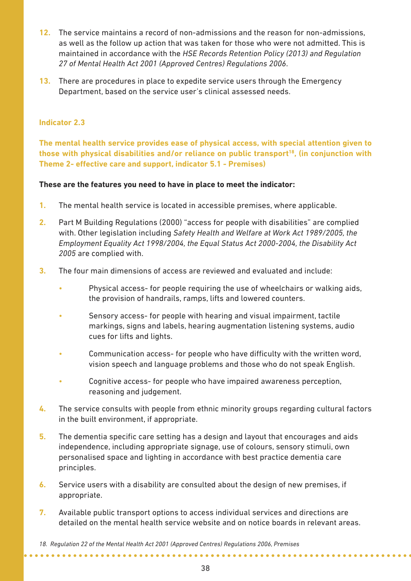- **12.** The service maintains a record of non-admissions and the reason for non-admissions, as well as the follow up action that was taken for those who were not admitted. This is maintained in accordance with the *HSE Records Retention Policy (2013) and Regulation 27 of Mental Health Act 2001 (Approved Centres) Regulations 2006*.
- **13.** There are procedures in place to expedite service users through the Emergency Department, based on the service user's clinical assessed needs.

#### **Indicator 2.3**

**The mental health service provides ease of physical access, with special attention given to those with physical disabilities and/or reliance on public transport18, (in conjunction with Theme 2- effective care and support, indicator 5.1 - Premises)**

#### **These are the features you need to have in place to meet the indicator:**

- **1.** The mental health service is located in accessible premises, where applicable.
- **2.** Part M Building Regulations (2000) "access for people with disabilities" are complied with. Other legislation including *Safety Health and Welfare at Work Act 1989/2005, the Employment Equality Act 1998/2004, the Equal Status Act 2000-2004, the Disability Act 2005* are complied with.
- **3.** The four main dimensions of access are reviewed and evaluated and include:
	- Physical access- for people requiring the use of wheelchairs or walking aids, the provision of handrails, ramps, lifts and lowered counters.
	- Sensory access- for people with hearing and visual impairment, tactile markings, signs and labels, hearing augmentation listening systems, audio cues for lifts and lights.
	- Communication access- for people who have difficulty with the written word, vision speech and language problems and those who do not speak English.
	- Cognitive access- for people who have impaired awareness perception. reasoning and judgement.
- **4.** The service consults with people from ethnic minority groups regarding cultural factors in the built environment, if appropriate.
- **5.** The dementia specific care setting has a design and layout that encourages and aids independence, including appropriate signage, use of colours, sensory stimuli, own personalised space and lighting in accordance with best practice dementia care principles.
- **6.** Service users with a disability are consulted about the design of new premises, if appropriate.
- **7.** Available public transport options to access individual services and directions are detailed on the mental health service website and on notice boards in relevant areas.

*<sup>18.</sup> Regulation 22 of the Mental Health Act 2001 (Approved Centres) Regulations 2006, Premises*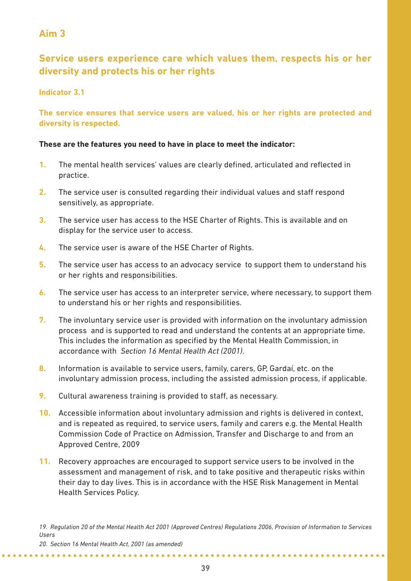# **Service users experience care which values them, respects his or her diversity and protects his or her rights**

#### **Indicator 3.1**

**The service ensures that service users are valued, his or her rights are protected and diversity is respected.** 

#### **These are the features you need to have in place to meet the indicator:**

- **1.** The mental health services' values are clearly defined, articulated and reflected in practice.
- **2.** The service user is consulted regarding their individual values and staff respond sensitively, as appropriate.
- **3.** The service user has access to the HSE Charter of Rights. This is available and on display for the service user to access.
- **4.** The service user is aware of the HSE Charter of Rights.
- **5.** The service user has access to an advocacy service to support them to understand his or her rights and responsibilities.
- **6.** The service user has access to an interpreter service, where necessary, to support them to understand his or her rights and responsibilities.
- **7.** The involuntary service user is provided with information on the involuntary admission process and is supported to read and understand the contents at an appropriate time. This includes the information as specified by the Mental Health Commission, in accordance with *Section 16 Mental Health Act (2001)*.
- **8.** Information is available to service users, family, carers, GP, Gardaí, etc. on the involuntary admission process, including the assisted admission process, if applicable.
- **9.** Cultural awareness training is provided to staff, as necessary.
- **10.** Accessible information about involuntary admission and rights is delivered in context, and is repeated as required, to service users, family and carers e.g. the Mental Health Commission Code of Practice on Admission, Transfer and Discharge to and from an Approved Centre, 2009
- **11.** Recovery approaches are encouraged to support service users to be involved in the assessment and management of risk, and to take positive and therapeutic risks within their day to day lives. This is in accordance with the HSE Risk Management in Mental Health Services Policy.

*19. Regulation 20 of the Mental Health Act 2001 (Approved Centres) Regulations 2006, Provision of Information to Services Users*

*20. Section 16 Mental Health Act, 2001 (as amended)*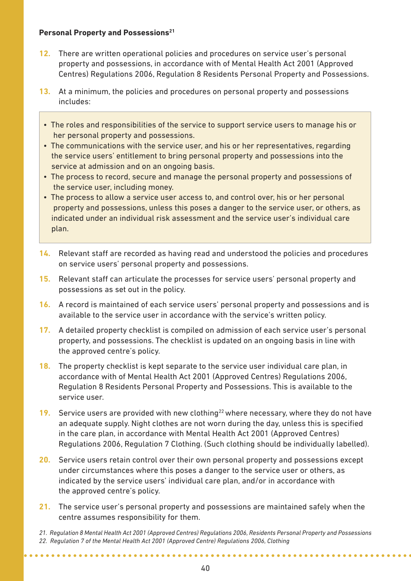#### **Personal Property and Possessions**<sup>21</sup>

- **12.** There are written operational policies and procedures on service user's personal property and possessions, in accordance with of Mental Health Act 2001 (Approved Centres) Regulations 2006, Regulation 8 Residents Personal Property and Possessions.
- **13.** At a minimum, the policies and procedures on personal property and possessions includes:
	- The roles and responsibilities of the service to support service users to manage his or her personal property and possessions.
	- The communications with the service user, and his or her representatives, regarding the service users' entitlement to bring personal property and possessions into the service at admission and on an ongoing basis.
	- The process to record, secure and manage the personal property and possessions of the service user, including money.
	- The process to allow a service user access to, and control over, his or her personal property and possessions, unless this poses a danger to the service user, or others, as indicated under an individual risk assessment and the service user's individual care plan.
- **14.** Relevant staff are recorded as having read and understood the policies and procedures on service users' personal property and possessions.
- **15.** Relevant staff can articulate the processes for service users' personal property and possessions as set out in the policy.
- **16.** A record is maintained of each service users' personal property and possessions and is available to the service user in accordance with the service's written policy.
- **17.** A detailed property checklist is compiled on admission of each service user's personal property, and possessions. The checklist is updated on an ongoing basis in line with the approved centre's policy.
- **18.** The property checklist is kept separate to the service user individual care plan, in accordance with of Mental Health Act 2001 (Approved Centres) Regulations 2006, Regulation 8 Residents Personal Property and Possessions. This is available to the service user.
- **19.** Service users are provided with new clothing<sup>22</sup> where necessary, where they do not have an adequate supply. Night clothes are not worn during the day, unless this is specified in the care plan, in accordance with Mental Health Act 2001 (Approved Centres) Regulations 2006, Regulation 7 Clothing. (Such clothing should be individually labelled).
- **20.** Service users retain control over their own personal property and possessions except under circumstances where this poses a danger to the service user or others, as indicated by the service users' individual care plan, and/or in accordance with the approved centre's policy.
- **21.** The service user's personal property and possessions are maintained safely when the centre assumes responsibility for them.
- *21. Regulation 8 Mental Health Act 2001 (Approved Centres) Regulations 2006, Residents Personal Property and Possessions 22. Regulation 7 of the Mental Health Act 2001 (Approved Centre) Regulations 2006, Clothing*

. . . . . . . . . . . . . . . . .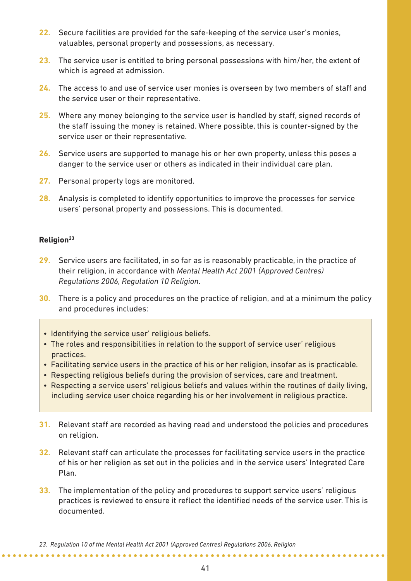- **22.** Secure facilities are provided for the safe-keeping of the service user's monies, valuables, personal property and possessions, as necessary.
- **23.** The service user is entitled to bring personal possessions with him/her, the extent of which is agreed at admission.
- **24.** The access to and use of service user monies is overseen by two members of staff and the service user or their representative.
- **25.** Where any money belonging to the service user is handled by staff, signed records of the staff issuing the money is retained. Where possible, this is counter-signed by the service user or their representative.
- **26.** Service users are supported to manage his or her own property, unless this poses a danger to the service user or others as indicated in their individual care plan.
- **27.** Personal property logs are monitored.
- **28.** Analysis is completed to identify opportunities to improve the processes for service users' personal property and possessions. This is documented.

#### **Religion23**

- **29.** Service users are facilitated, in so far as is reasonably practicable, in the practice of their religion, in accordance with *Mental Health Act 2001 (Approved Centres) Regulations 2006, Regulation 10 Religion*.
- **30.** There is a policy and procedures on the practice of religion, and at a minimum the policy and procedures includes:
	- Identifying the service user' religious beliefs.
	- The roles and responsibilities in relation to the support of service user' religious practices.
	- Facilitating service users in the practice of his or her religion, insofar as is practicable.
	- Respecting religious beliefs during the provision of services, care and treatment.
	- Respecting a service users' religious beliefs and values within the routines of daily living, including service user choice regarding his or her involvement in religious practice.
- **31.** Relevant staff are recorded as having read and understood the policies and procedures on religion.
- **32.** Relevant staff can articulate the processes for facilitating service users in the practice of his or her religion as set out in the policies and in the service users' Integrated Care Plan.
- **33.** The implementation of the policy and procedures to support service users' religious practices is reviewed to ensure it reflect the identified needs of the service user. This is documented.

*23. Regulation 10 of the Mental Health Act 2001 (Approved Centres) Regulations 2006, Religion*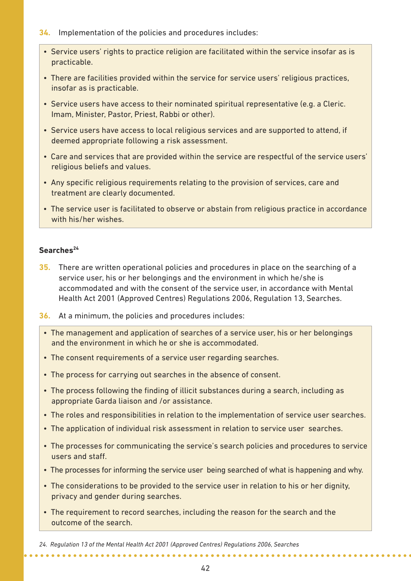- **34.** Implementation of the policies and procedures includes:
	- Service users' rights to practice religion are facilitated within the service insofar as is practicable.
	- There are facilities provided within the service for service users' religious practices, insofar as is practicable.
	- Service users have access to their nominated spiritual representative (e.g. a Cleric. Imam, Minister, Pastor, Priest, Rabbi or other).
	- Service users have access to local religious services and are supported to attend, if deemed appropriate following a risk assessment.
	- Care and services that are provided within the service are respectful of the service users' religious beliefs and values.
	- Any specific religious requirements relating to the provision of services, care and treatment are clearly documented.
	- The service user is facilitated to observe or abstain from religious practice in accordance with his/her wishes.

#### Searches<sup>24</sup>

- **35.** There are written operational policies and procedures in place on the searching of a service user, his or her belongings and the environment in which he/she is accommodated and with the consent of the service user, in accordance with Mental Health Act 2001 (Approved Centres) Regulations 2006, Regulation 13, Searches.
- **36.** At a minimum, the policies and procedures includes:
	- The management and application of searches of a service user, his or her belongings and the environment in which he or she is accommodated.
	- The consent requirements of a service user regarding searches.
	- The process for carrying out searches in the absence of consent.
	- The process following the finding of illicit substances during a search, including as appropriate Garda liaison and /or assistance.
	- The roles and responsibilities in relation to the implementation of service user searches.
	- The application of individual risk assessment in relation to service user searches.
	- The processes for communicating the service's search policies and procedures to service users and staff.
	- The processes for informing the service user being searched of what is happening and why.
	- The considerations to be provided to the service user in relation to his or her dignity, privacy and gender during searches.
	- The requirement to record searches, including the reason for the search and the outcome of the search.

*24. Regulation 13 of the Mental Health Act 2001 (Approved Centres) Regulations 2006, Searches*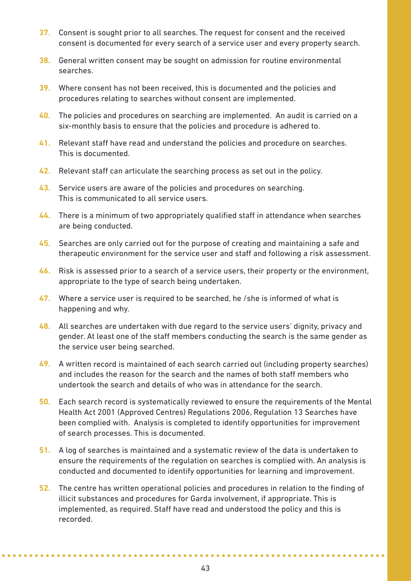- **37.** Consent is sought prior to all searches. The request for consent and the received consent is documented for every search of a service user and every property search.
- **38.** General written consent may be sought on admission for routine environmental searches.
- **39.** Where consent has not been received, this is documented and the policies and procedures relating to searches without consent are implemented.
- **40.** The policies and procedures on searching are implemented. An audit is carried on a six-monthly basis to ensure that the policies and procedure is adhered to.
- **41.** Relevant staff have read and understand the policies and procedure on searches. This is documented.
- **42.** Relevant staff can articulate the searching process as set out in the policy.
- **43.** Service users are aware of the policies and procedures on searching. This is communicated to all service users.
- **44.** There is a minimum of two appropriately qualified staff in attendance when searches are being conducted.
- **45.** Searches are only carried out for the purpose of creating and maintaining a safe and therapeutic environment for the service user and staff and following a risk assessment.
- **46.** Risk is assessed prior to a search of a service users, their property or the environment, appropriate to the type of search being undertaken.
- **47.** Where a service user is required to be searched, he /she is informed of what is happening and why.
- **48.** All searches are undertaken with due regard to the service users' dignity, privacy and gender. At least one of the staff members conducting the search is the same gender as the service user being searched.
- **49.** A written record is maintained of each search carried out (including property searches) and includes the reason for the search and the names of both staff members who undertook the search and details of who was in attendance for the search.
- **50.** Each search record is systematically reviewed to ensure the requirements of the Mental Health Act 2001 (Approved Centres) Regulations 2006, Regulation 13 Searches have been complied with. Analysis is completed to identify opportunities for improvement of search processes. This is documented.
- **51.** A log of searches is maintained and a systematic review of the data is undertaken to ensure the requirements of the regulation on searches is complied with. An analysis is conducted and documented to identify opportunities for learning and improvement.
- **52.** The centre has written operational policies and procedures in relation to the finding of illicit substances and procedures for Garda involvement, if appropriate. This is implemented, as required. Staff have read and understood the policy and this is recorded.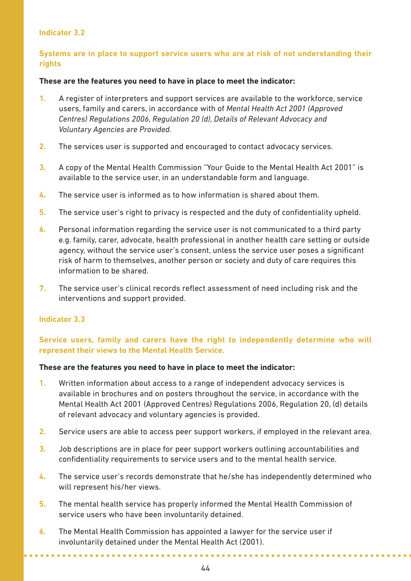#### **Indicator 3.2**

#### **Systems are in place to support service users who are at risk of not understanding their rights**

#### **These are the features you need to have in place to meet the indicator:**

- **1.** A register of interpreters and support services are available to the workforce, service users, family and carers, in accordance with of *Mental Health Act 2001 (Approved Centres) Regulations 2006, Regulation 20 (d), Details of Relevant Advocacy and Voluntary Agencies are Provided.*
- **2.** The services user is supported and encouraged to contact advocacy services.
- **3.** A copy of the Mental Health Commission "Your Guide to the Mental Health Act 2001" is available to the service user, in an understandable form and language.
- **4.** The service user is informed as to how information is shared about them.
- **5.** The service user's right to privacy is respected and the duty of confidentiality upheld.
- **6.** Personal information regarding the service user is not communicated to a third party e.g. family, carer, advocate, health professional in another health care setting or outside agency, without the service user's consent, unless the service user poses a significant risk of harm to themselves, another person or society and duty of care requires this information to be shared.
- **7.** The service user's clinical records reflect assessment of need including risk and the interventions and support provided.

#### **Indicator 3.3**

#### **Service users, family and carers have the right to independently determine who will represent their views to the Mental Health Service.**

#### **These are the features you need to have in place to meet the indicator:**

- **1.** Written information about access to a range of independent advocacy services is available in brochures and on posters throughout the service, in accordance with the Mental Health Act 2001 (Approved Centres) Regulations 2006, Regulation 20, (d) details of relevant advocacy and voluntary agencies is provided.
- **2.** Service users are able to access peer support workers, if employed in the relevant area.
- **3.** Job descriptions are in place for peer support workers outlining accountabilities and confidentiality requirements to service users and to the mental health service.
- **4.** The service user's records demonstrate that he/she has independently determined who will represent his/her views.
- **5.** The mental health service has properly informed the Mental Health Commission of service users who have been involuntarily detained.
- **6.** The Mental Health Commission has appointed a lawyer for the service user if involuntarily detained under the Mental Health Act (2001).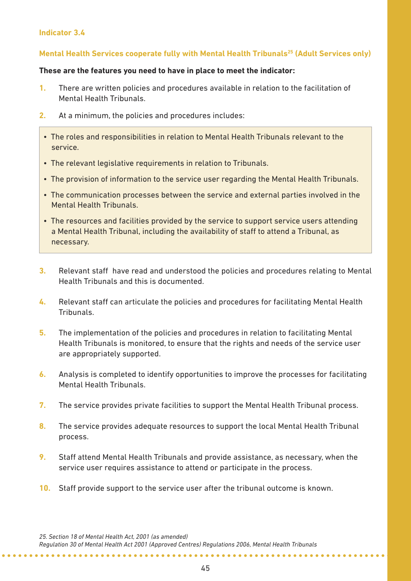#### **Indicator 3.4**

#### **Mental Health Services cooperate fully with Mental Health Tribunals25 (Adult Services only)**

#### **These are the features you need to have in place to meet the indicator:**

- **1.** There are written policies and procedures available in relation to the facilitation of Mental Health Tribunals.
- **2.** At a minimum, the policies and procedures includes:
	- The roles and responsibilities in relation to Mental Health Tribunals relevant to the service.
	- The relevant legislative requirements in relation to Tribunals.
	- The provision of information to the service user regarding the Mental Health Tribunals.
	- The communication processes between the service and external parties involved in the Mental Health Tribunals.
	- The resources and facilities provided by the service to support service users attending a Mental Health Tribunal, including the availability of staff to attend a Tribunal, as necessary.
- **3.** Relevant staff have read and understood the policies and procedures relating to Mental Health Tribunals and this is documented.
- **4.** Relevant staff can articulate the policies and procedures for facilitating Mental Health Tribunals.
- **5.** The implementation of the policies and procedures in relation to facilitating Mental Health Tribunals is monitored, to ensure that the rights and needs of the service user are appropriately supported.
- **6.** Analysis is completed to identify opportunities to improve the processes for facilitating Mental Health Tribunals.
- **7.** The service provides private facilities to support the Mental Health Tribunal process.
- **8.** The service provides adequate resources to support the local Mental Health Tribunal process.
- **9.** Staff attend Mental Health Tribunals and provide assistance, as necessary, when the service user requires assistance to attend or participate in the process.
- **10.** Staff provide support to the service user after the tribunal outcome is known.

*25. Section 18 of Mental Health Act, 2001 (as amended)*

**\*\*\*\*\*\*\*\*\*\*\*\*\*\*\*\*\*\*** 

*Regulation 30 of Mental Health Act 2001 (Approved Centres) Regulations 2006, Mental Health Tribunals*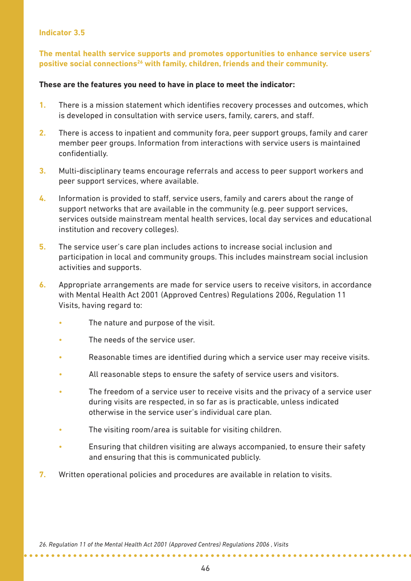#### **Indicator 3.5**

**The mental health service supports and promotes opportunities to enhance service users'** positive social connections<sup>26</sup> with family, children, friends and their community.

#### **These are the features you need to have in place to meet the indicator:**

- **1.** There is a mission statement which identifies recovery processes and outcomes, which is developed in consultation with service users, family, carers, and staff.
- **2.** There is access to inpatient and community fora, peer support groups, family and carer member peer groups. Information from interactions with service users is maintained confidentially.
- **3.** Multi-disciplinary teams encourage referrals and access to peer support workers and peer support services, where available.
- **4.** Information is provided to staff, service users, family and carers about the range of support networks that are available in the community (e.g. peer support services, services outside mainstream mental health services, local day services and educational institution and recovery colleges).
- **5.** The service user's care plan includes actions to increase social inclusion and participation in local and community groups. This includes mainstream social inclusion activities and supports.
- **6.** Appropriate arrangements are made for service users to receive visitors, in accordance with Mental Health Act 2001 (Approved Centres) Regulations 2006, Regulation 11 Visits, having regard to:
	- The nature and purpose of the visit.
	- The needs of the service user
	- Reasonable times are identified during which a service user may receive visits.
	- All reasonable steps to ensure the safety of service users and visitors.
	- The freedom of a service user to receive visits and the privacy of a service user during visits are respected, in so far as is practicable, unless indicated otherwise in the service user's individual care plan.
	- The visiting room/area is suitable for visiting children.
	- Ensuring that children visiting are always accompanied, to ensure their safety and ensuring that this is communicated publicly.
- **7.** Written operational policies and procedures are available in relation to visits.

*26. Regulation 11 of the Mental Health Act 2001 (Approved Centres) Regulations 2006 , Visits*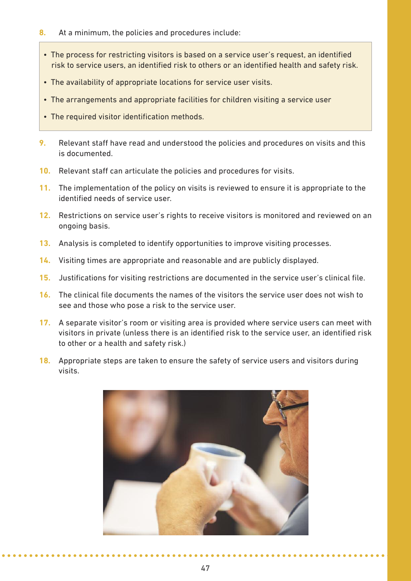- **8.** At a minimum, the policies and procedures include:
	- The process for restricting visitors is based on a service user's request, an identified risk to service users, an identified risk to others or an identified health and safety risk.
	- The availability of appropriate locations for service user visits.
	- The arrangements and appropriate facilities for children visiting a service user
- The required visitor identification methods.
- **9.** Relevant staff have read and understood the policies and procedures on visits and this is documented.
- **10.** Relevant staff can articulate the policies and procedures for visits.
- **11.** The implementation of the policy on visits is reviewed to ensure it is appropriate to the identified needs of service user.
- **12.** Restrictions on service user's rights to receive visitors is monitored and reviewed on an ongoing basis.
- **13.** Analysis is completed to identify opportunities to improve visiting processes.
- **14.** Visiting times are appropriate and reasonable and are publicly displayed.
- **15.** Justifications for visiting restrictions are documented in the service user's clinical file.
- **16.** The clinical file documents the names of the visitors the service user does not wish to see and those who pose a risk to the service user.
- **17.** A separate visitor's room or visiting area is provided where service users can meet with visitors in private (unless there is an identified risk to the service user, an identified risk to other or a health and safety risk.)
- **18.** Appropriate steps are taken to ensure the safety of service users and visitors during visits.

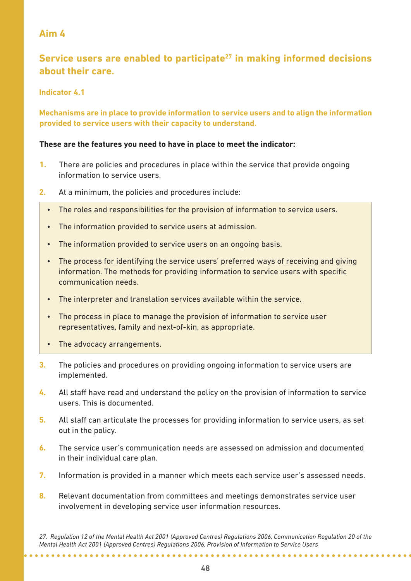# **Service users are enabled to participate27 in making informed decisions about their care.**

**Indicator 4.1** 

**Mechanisms are in place to provide information to service users and to align the information provided to service users with their capacity to understand.**

#### **These are the features you need to have in place to meet the indicator:**

- **1.** There are policies and procedures in place within the service that provide ongoing information to service users.
- **2.** At a minimum, the policies and procedures include:
	- The roles and responsibilities for the provision of information to service users.
	- The information provided to service users at admission.
	- The information provided to service users on an ongoing basis.
	- The process for identifying the service users' preferred ways of receiving and giving information. The methods for providing information to service users with specific communication needs.
	- The interpreter and translation services available within the service.
	- The process in place to manage the provision of information to service user representatives, family and next-of-kin, as appropriate.
	- The advocacy arrangements.
- **3.** The policies and procedures on providing ongoing information to service users are implemented.
- **4.** All staff have read and understand the policy on the provision of information to service users. This is documented.
- **5.** All staff can articulate the processes for providing information to service users, as set out in the policy.
- **6.** The service user's communication needs are assessed on admission and documented in their individual care plan.
- **7.** Information is provided in a manner which meets each service user's assessed needs.
- **8.** Relevant documentation from committees and meetings demonstrates service user involvement in developing service user information resources.

*27. Regulation 12 of the Mental Health Act 2001 (Approved Centres) Regulations 2006, Communication Regulation 20 of the Mental Health Act 2001 (Approved Centres) Regulations 2006, Provision of Information to Service Users*

\*\*\*\*\*\*\*\*\*\*\*\*\*\*\*\*\*\*\*\*\*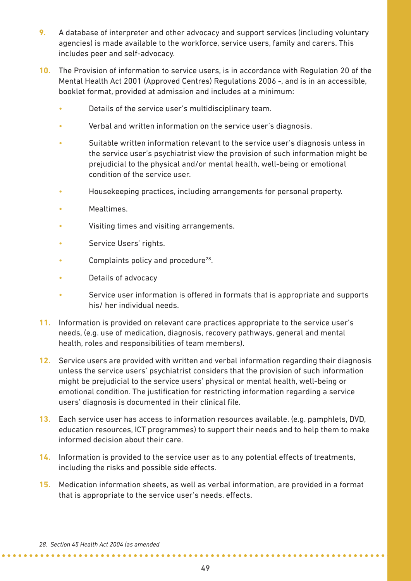- **9.** A database of interpreter and other advocacy and support services (including voluntary agencies) is made available to the workforce, service users, family and carers. This includes peer and self-advocacy.
- **10.** The Provision of information to service users, is in accordance with Regulation 20 of the Mental Health Act 2001 (Approved Centres) Regulations 2006 -, and is in an accessible, booklet format, provided at admission and includes at a minimum:
	- Details of the service user's multidisciplinary team.
	- Verbal and written information on the service user's diagnosis.
	- Suitable written information relevant to the service user's diagnosis unless in the service user's psychiatrist view the provision of such information might be prejudicial to the physical and/or mental health, well-being or emotional condition of the service user.
	- Housekeeping practices, including arrangements for personal property.
	- Mealtimes.
	- Visiting times and visiting arrangements.
	- Service Users' rights.
	- Complaints policy and procedure<sup>28</sup>.
	- Details of advocacy
	- Service user information is offered in formats that is appropriate and supports his/ her individual needs.
- **11.** Information is provided on relevant care practices appropriate to the service user's needs, (e.g. use of medication, diagnosis, recovery pathways, general and mental health, roles and responsibilities of team members).
- **12.** Service users are provided with written and verbal information regarding their diagnosis unless the service users' psychiatrist considers that the provision of such information might be prejudicial to the service users' physical or mental health, well-being or emotional condition. The justification for restricting information regarding a service users' diagnosis is documented in their clinical file.
- **13.** Each service user has access to information resources available. (e.g. pamphlets, DVD, education resources, ICT programmes) to support their needs and to help them to make informed decision about their care.
- **14.** Information is provided to the service user as to any potential effects of treatments, including the risks and possible side effects.
- **15.** Medication information sheets, as well as verbal information, are provided in a format that is appropriate to the service user's needs. effects.

**\*\*\*\*\*\*\*\*\*\*\*\*\*\*\*\*\*\*\*\*\*\***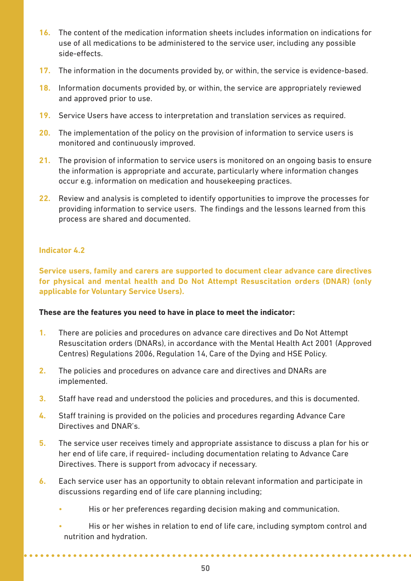- **16.** The content of the medication information sheets includes information on indications for use of all medications to be administered to the service user, including any possible side-effects.
- **17.** The information in the documents provided by, or within, the service is evidence-based.
- **18.** Information documents provided by, or within, the service are appropriately reviewed and approved prior to use.
- **19.** Service Users have access to interpretation and translation services as required.
- **20.** The implementation of the policy on the provision of information to service users is monitored and continuously improved.
- **21.** The provision of information to service users is monitored on an ongoing basis to ensure the information is appropriate and accurate, particularly where information changes occur e.g. information on medication and housekeeping practices.
- **22.** Review and analysis is completed to identify opportunities to improve the processes for providing information to service users. The findings and the lessons learned from this process are shared and documented.

#### **Indicator 4.2**

**Service users, family and carers are supported to document clear advance care directives for physical and mental health and Do Not Attempt Resuscitation orders (DNAR) (only applicable for voluntary Service users).** 

#### **These are the features you need to have in place to meet the indicator:**

- **1.** There are policies and procedures on advance care directives and Do Not Attempt Resuscitation orders (DNARs), in accordance with the Mental Health Act 2001 (Approved Centres) Regulations 2006, Regulation 14, Care of the Dying and HSE Policy.
- **2.** The policies and procedures on advance care and directives and DNARs are implemented.
- **3.** Staff have read and understood the policies and procedures, and this is documented.
- **4.** Staff training is provided on the policies and procedures regarding Advance Care Directives and DNAR's.
- **5.** The service user receives timely and appropriate assistance to discuss a plan for his or her end of life care, if required- including documentation relating to Advance Care Directives. There is support from advocacy if necessary.
- **6.** Each service user has an opportunity to obtain relevant information and participate in discussions regarding end of life care planning including;
	- His or her preferences regarding decision making and communication.

. . . . . . . . . . . . . . .

• His or her wishes in relation to end of life care, including symptom control and nutrition and hydration.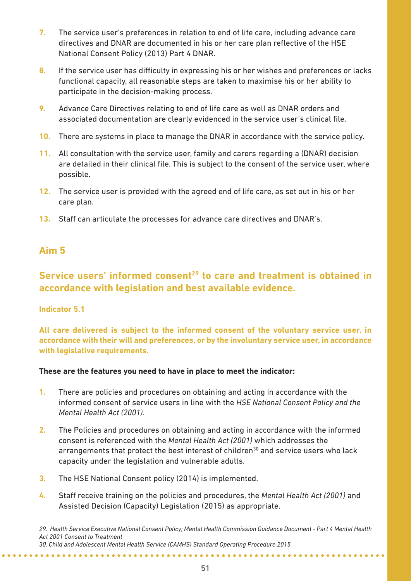- **7.** The service user's preferences in relation to end of life care, including advance care directives and DNAR are documented in his or her care plan reflective of the HSE National Consent Policy (2013) Part 4 DNAR.
- **8.** If the service user has difficulty in expressing his or her wishes and preferences or lacks functional capacity, all reasonable steps are taken to maximise his or her ability to participate in the decision-making process.
- **9.** Advance Care Directives relating to end of life care as well as DNAR orders and associated documentation are clearly evidenced in the service user's clinical file.
- **10.** There are systems in place to manage the DNAR in accordance with the service policy.
- **11.** All consultation with the service user, family and carers regarding a (DNAR) decision are detailed in their clinical file. This is subject to the consent of the service user, where possible.
- **12.** The service user is provided with the agreed end of life care, as set out in his or her care plan.
- **13.** Staff can articulate the processes for advance care directives and DNAR's.

# **Service users' informed consent<sup>29</sup> to care and treatment is obtained in accordance with legislation and best available evidence.**

#### **Indicator 5.1**

**All care delivered is subject to the informed consent of the voluntary service user, in accordance with their will and preferences, or by the involuntary service user, in accordance with legislative requirements.**

#### **These are the features you need to have in place to meet the indicator:**

- **1.** There are policies and procedures on obtaining and acting in accordance with the informed consent of service users in line with the *HSE National Consent Policy and the Mental Health Act (2001)*.
- **2.** The Policies and procedures on obtaining and acting in accordance with the informed consent is referenced with the *Mental Health Act (2001)* which addresses the arrangements that protect the best interest of children $30$  and service users who lack capacity under the legislation and vulnerable adults.
- **3.** The HSE National Consent policy (2014) is implemented.

**4.** Staff receive training on the policies and procedures, the *Mental Health Act (2001)* and Assisted Decision (Capacity) Legislation (2015) as appropriate.

*29. Health Service Executive National Consent Policy; Mental Health Commission Guidance Document - Part 4 Mental Health Act 2001 Consent to Treatment*

*30. Child and Adolescent Mental Health Service (CAMHS) Standard Operating Procedure 2015*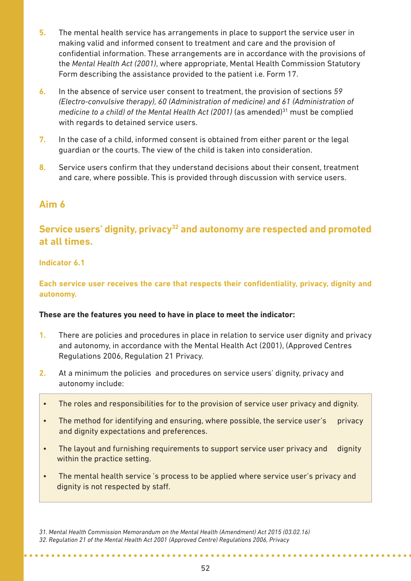- **5.** The mental health service has arrangements in place to support the service user in making valid and informed consent to treatment and care and the provision of confidential information. These arrangements are in accordance with the provisions of the *Mental Health Act (2001)*, where appropriate, Mental Health Commission Statutory Form describing the assistance provided to the patient i.e. Form 17.
- **6.** In the absence of service user consent to treatment, the provision of sections *59 (Electro-convulsive therapy), 60 (Administration of medicine) and 61 (Administration of medicine to a child) of the Mental Health Act (2001)* (as amended)<sup>31</sup> must be complied with regards to detained service users.
- **7.** In the case of a child, informed consent is obtained from either parent or the legal guardian or the courts. The view of the child is taken into consideration.
- **8.** Service users confirm that they understand decisions about their consent, treatment and care, where possible. This is provided through discussion with service users.

# **Service users' dignity, privacy32 and autonomy are respected and promoted at all times.**

#### **Indicator 6.1**

#### **Each service user receives the care that respects their confidentiality, privacy, dignity and autonomy.**

#### **These are the features you need to have in place to meet the indicator:**

- **1.** There are policies and procedures in place in relation to service user dignity and privacy and autonomy, in accordance with the Mental Health Act (2001), (Approved Centres Regulations 2006, Regulation 21 Privacy.
- **2.** At a minimum the policies and procedures on service users' dignity, privacy and autonomy include:
- The roles and responsibilities for to the provision of service user privacy and dignity.
- The method for identifying and ensuring, where possible, the service user's privacy and dignity expectations and preferences.
- The layout and furnishing requirements to support service user privacy and dignity within the practice setting.
- The mental health service 's process to be applied where service user's privacy and dignity is not respected by staff.

. . . . . . . . . . . . . . . .

*<sup>31.</sup> Mental Health Commission Memorandum on the Mental Health (Amendment) Act 2015 (03.02.16) 32. Regulation 21 of the Mental Health Act 2001 (Approved Centre) Regulations 2006, Privacy*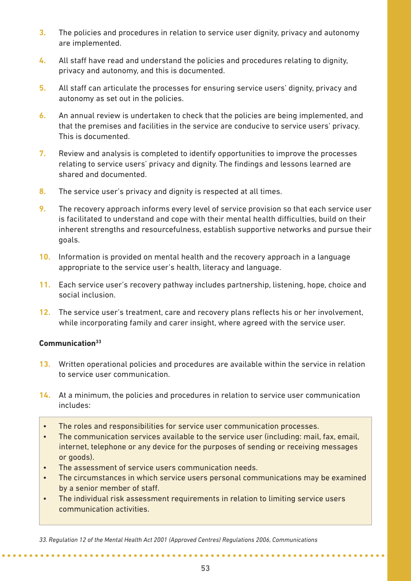- **3.** The policies and procedures in relation to service user dignity, privacy and autonomy are implemented.
- **4.** All staff have read and understand the policies and procedures relating to dignity, privacy and autonomy, and this is documented.
- **5.** All staff can articulate the processes for ensuring service users' dignity, privacy and autonomy as set out in the policies.
- **6.** An annual review is undertaken to check that the policies are being implemented, and that the premises and facilities in the service are conducive to service users' privacy. This is documented.
- **7.** Review and analysis is completed to identify opportunities to improve the processes relating to service users' privacy and dignity. The findings and lessons learned are shared and documented.
- **8.** The service user's privacy and dignity is respected at all times.
- **9.** The recovery approach informs every level of service provision so that each service user is facilitated to understand and cope with their mental health difficulties, build on their inherent strengths and resourcefulness, establish supportive networks and pursue their goals.
- **10.** Information is provided on mental health and the recovery approach in a language appropriate to the service user's health, literacy and language.
- **11.** Each service user's recovery pathway includes partnership, listening, hope, choice and social inclusion.
- **12.** The service user's treatment, care and recovery plans reflects his or her involvement, while incorporating family and carer insight, where agreed with the service user.

#### **Communication33**

- **13.** Written operational policies and procedures are available within the service in relation to service user communication.
- **14.** At a minimum, the policies and procedures in relation to service user communication includes:
- The roles and responsibilities for service user communication processes.
- The communication services available to the service user (including: mail, fax, email, internet, telephone or any device for the purposes of sending or receiving messages or goods).
- The assessment of service users communication needs.

- The circumstances in which service users personal communications may be examined by a senior member of staff.
- The individual risk assessment requirements in relation to limiting service users communication activities.

*33. Regulation 12 of the Mental Health Act 2001 (Approved Centres) Regulations 2006, Communications*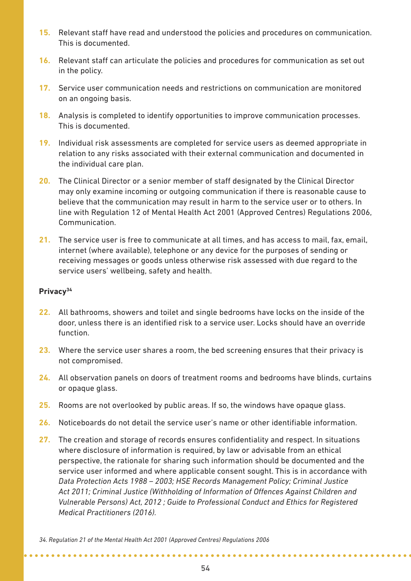- **15.** Relevant staff have read and understood the policies and procedures on communication. This is documented.
- **16.** Relevant staff can articulate the policies and procedures for communication as set out in the policy.
- **17.** Service user communication needs and restrictions on communication are monitored on an ongoing basis.
- **18.** Analysis is completed to identify opportunities to improve communication processes. This is documented.
- **19.** Individual risk assessments are completed for service users as deemed appropriate in relation to any risks associated with their external communication and documented in the individual care plan.
- **20.** The Clinical Director or a senior member of staff designated by the Clinical Director may only examine incoming or outgoing communication if there is reasonable cause to believe that the communication may result in harm to the service user or to others. In line with Regulation 12 of Mental Health Act 2001 (Approved Centres) Regulations 2006, Communication.
- **21.** The service user is free to communicate at all times, and has access to mail, fax, email, internet (where available), telephone or any device for the purposes of sending or receiving messages or goods unless otherwise risk assessed with due regard to the service users' wellbeing, safety and health.

#### **Privacy34**

- **22.** All bathrooms, showers and toilet and single bedrooms have locks on the inside of the door, unless there is an identified risk to a service user. Locks should have an override function.
- **23.** Where the service user shares a room, the bed screening ensures that their privacy is not compromised.
- **24.** All observation panels on doors of treatment rooms and bedrooms have blinds, curtains or opaque glass.
- **25.** Rooms are not overlooked by public areas. If so, the windows have opaque glass.
- **26.** Noticeboards do not detail the service user's name or other identifiable information.
- **27.** The creation and storage of records ensures confidentiality and respect. In situations where disclosure of information is required, by law or advisable from an ethical perspective, the rationale for sharing such information should be documented and the service user informed and where applicable consent sought. This is in accordance with *Data Protection Acts 1988 – 2003; HSE Records Management Policy; Criminal Justice Act 2011; Criminal Justice (Withholding of Information of Offences Against Children and Vulnerable Persons) Act, 2012 ; Guide to Professional Conduct and Ethics for Registered Medical Practitioners (2016).*

*<sup>34.</sup> Regulation 21 of the Mental Health Act 2001 (Approved Centres) Regulations 2006*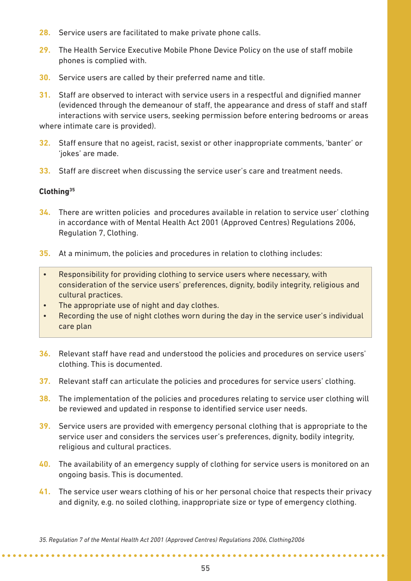- **28.** Service users are facilitated to make private phone calls.
- **29.** The Health Service Executive Mobile Phone Device Policy on the use of staff mobile phones is complied with.
- **30.** Service users are called by their preferred name and title.
- **31.** Staff are observed to interact with service users in a respectful and dignified manner (evidenced through the demeanour of staff, the appearance and dress of staff and staff interactions with service users, seeking permission before entering bedrooms or areas where intimate care is provided).
- **32.** Staff ensure that no ageist, racist, sexist or other inappropriate comments, 'banter' or 'jokes' are made.
- **33.** Staff are discreet when discussing the service user's care and treatment needs.

#### **Clothing35**

- **34.** There are written policies and procedures available in relation to service user' clothing in accordance with of Mental Health Act 2001 (Approved Centres) Regulations 2006, Regulation 7, Clothing.
- **35.** At a minimum, the policies and procedures in relation to clothing includes:
- Responsibility for providing clothing to service users where necessary, with consideration of the service users' preferences, dignity, bodily integrity, religious and cultural practices.
- The appropriate use of night and day clothes.
- Recording the use of night clothes worn during the day in the service user's individual care plan
- **36.** Relevant staff have read and understood the policies and procedures on service users' clothing. This is documented.
- **37.** Relevant staff can articulate the policies and procedures for service users' clothing.
- **38.** The implementation of the policies and procedures relating to service user clothing will be reviewed and updated in response to identified service user needs.
- **39.** Service users are provided with emergency personal clothing that is appropriate to the service user and considers the services user's preferences, dignity, bodily integrity, religious and cultural practices.
- **40.** The availability of an emergency supply of clothing for service users is monitored on an ongoing basis. This is documented.
- **41.** The service user wears clothing of his or her personal choice that respects their privacy and dignity, e.g. no soiled clothing, inappropriate size or type of emergency clothing.

**\*\*\*\*\*\*\*\*\*\*\*\*\*\*\*\*** 

*<sup>35.</sup> Regulation 7 of the Mental Health Act 2001 (Approved Centres) Regulations 2006, Clothing2006*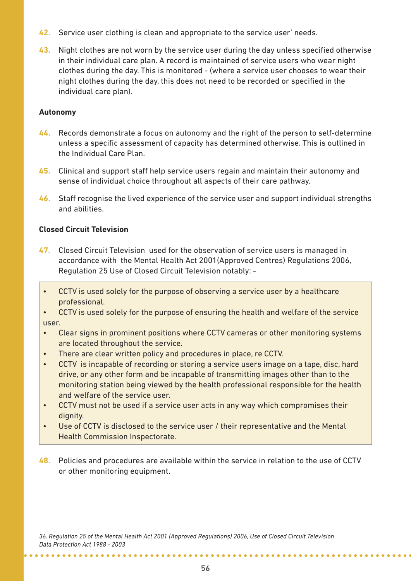- **42.** Service user clothing is clean and appropriate to the service user' needs.
- **43.** Night clothes are not worn by the service user during the day unless specified otherwise in their individual care plan. A record is maintained of service users who wear night clothes during the day. This is monitored - (where a service user chooses to wear their night clothes during the day, this does not need to be recorded or specified in the individual care plan).

#### **Autonomy**

- **44.** Records demonstrate a focus on autonomy and the right of the person to self-determine unless a specific assessment of capacity has determined otherwise. This is outlined in the Individual Care Plan.
- **45.** Clinical and support staff help service users regain and maintain their autonomy and sense of individual choice throughout all aspects of their care pathway.
- **46.** Staff recognise the lived experience of the service user and support individual strengths and abilities.

#### **Closed Circuit Television**

- **47.** Closed Circuit Television used for the observation of service users is managed in accordance with the Mental Health Act 2001(Approved Centres) Regulations 2006, Regulation 25 Use of Closed Circuit Television notably: -
	- CCTV is used solely for the purpose of observing a service user by a healthcare professional.
- CCTV is used solely for the purpose of ensuring the health and welfare of the service user.
- Clear signs in prominent positions where CCTV cameras or other monitoring systems are located throughout the service.
- There are clear written policy and procedures in place, re CCTV.
- CCTV is incapable of recording or storing a service users image on a tape, disc, hard drive, or any other form and be incapable of transmitting images other than to the monitoring station being viewed by the health professional responsible for the health and welfare of the service user.
- CCTV must not be used if a service user acts in any way which compromises their dignity.
- Use of CCTV is disclosed to the service user / their representative and the Mental Health Commission Inspectorate.
- **48.** Policies and procedures are available within the service in relation to the use of CCTV or other monitoring equipment.

*36. Regulation 25 of the Mental Health Act 2001 (Approved Regulations) 2006, Use of Closed Circuit Television Data Protection Act 1988 - 2003*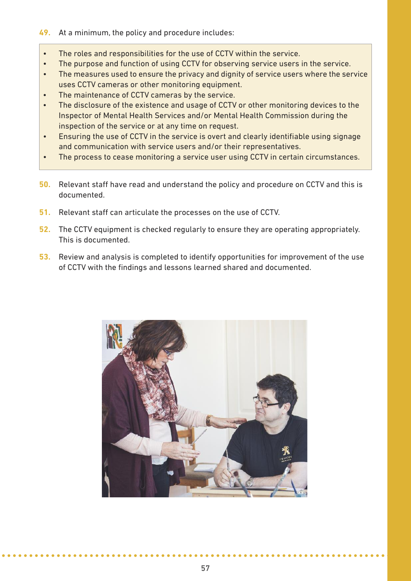#### **49.** At a minimum, the policy and procedure includes:

- The roles and responsibilities for the use of CCTV within the service.
- The purpose and function of using CCTV for observing service users in the service.
- The measures used to ensure the privacy and dignity of service users where the service uses CCTV cameras or other monitoring equipment.
- The maintenance of CCTV cameras by the service.
- The disclosure of the existence and usage of CCTV or other monitoring devices to the Inspector of Mental Health Services and/or Mental Health Commission during the inspection of the service or at any time on request.
- Ensuring the use of CCTV in the service is overt and clearly identifiable using signage and communication with service users and/or their representatives.
- The process to cease monitoring a service user using CCTV in certain circumstances.
- **50.** Relevant staff have read and understand the policy and procedure on CCTV and this is documented.
- **51.** Relevant staff can articulate the processes on the use of CCTV.
- **52.** The CCTV equipment is checked regularly to ensure they are operating appropriately. This is documented.
- **53.** Review and analysis is completed to identify opportunities for improvement of the use of CCTV with the findings and lessons learned shared and documented.

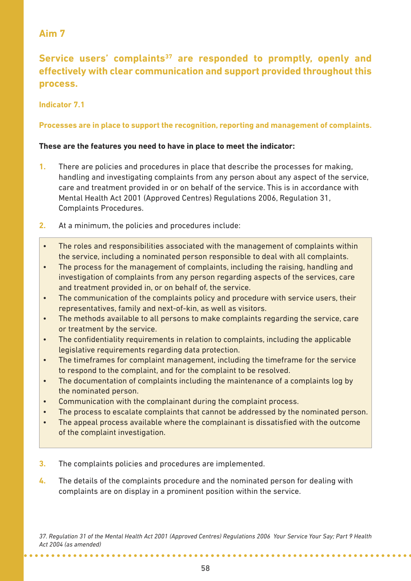Service users' complaints<sup>37</sup> are responded to promptly, openly and **effectively with clear communication and support provided throughout this process.**

#### **Indicator 7.1**

#### **Processes are in place to support the recognition, reporting and management of complaints.**

#### **These are the features you need to have in place to meet the indicator:**

- **1.** There are policies and procedures in place that describe the processes for making, handling and investigating complaints from any person about any aspect of the service, care and treatment provided in or on behalf of the service. This is in accordance with Mental Health Act 2001 (Approved Centres) Regulations 2006, Regulation 31, Complaints Procedures.
- **2.** At a minimum, the policies and procedures include:
- The roles and responsibilities associated with the management of complaints within the service, including a nominated person responsible to deal with all complaints.
- The process for the management of complaints, including the raising, handling and investigation of complaints from any person regarding aspects of the services, care and treatment provided in, or on behalf of, the service.
- The communication of the complaints policy and procedure with service users, their representatives, family and next-of-kin, as well as visitors.
- The methods available to all persons to make complaints regarding the service, care or treatment by the service.
- The confidentiality requirements in relation to complaints, including the applicable legislative requirements regarding data protection.
- The timeframes for complaint management, including the timeframe for the service to respond to the complaint, and for the complaint to be resolved.
- The documentation of complaints including the maintenance of a complaints log by the nominated person.
- Communication with the complainant during the complaint process.
- The process to escalate complaints that cannot be addressed by the nominated person.
- The appeal process available where the complainant is dissatisfied with the outcome of the complaint investigation.
- **3.** The complaints policies and procedures are implemented.
- **4.** The details of the complaints procedure and the nominated person for dealing with complaints are on display in a prominent position within the service.

*37. Regulation 31 of the Mental Health Act 2001 (Approved Centres) Regulations 2006 Your Service Your Say; Part 9 Health Act 2004 (as amended)*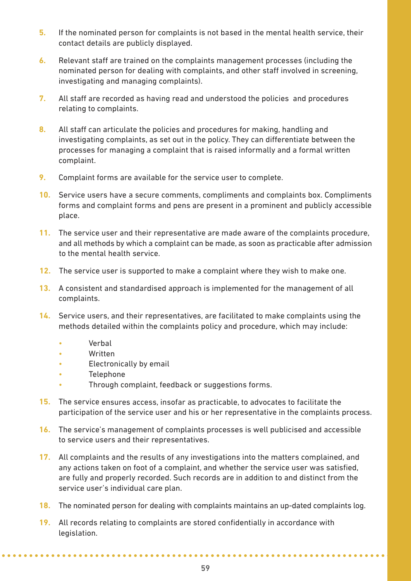- **5.** If the nominated person for complaints is not based in the mental health service, their contact details are publicly displayed.
- **6.** Relevant staff are trained on the complaints management processes (including the nominated person for dealing with complaints, and other staff involved in screening, investigating and managing complaints).
- **7.** All staff are recorded as having read and understood the policies and procedures relating to complaints.
- **8.** All staff can articulate the policies and procedures for making, handling and investigating complaints, as set out in the policy. They can differentiate between the processes for managing a complaint that is raised informally and a formal written complaint.
- **9.** Complaint forms are available for the service user to complete.
- **10.** Service users have a secure comments, compliments and complaints box. Compliments forms and complaint forms and pens are present in a prominent and publicly accessible place.
- **11.** The service user and their representative are made aware of the complaints procedure, and all methods by which a complaint can be made, as soon as practicable after admission to the mental health service.
- **12.** The service user is supported to make a complaint where they wish to make one.
- **13.** A consistent and standardised approach is implemented for the management of all complaints.
- **14.** Service users, and their representatives, are facilitated to make complaints using the methods detailed within the complaints policy and procedure, which may include:
	- **Verbal**
	- Written
	- Electronically by email
	- **Telephone**
	- Through complaint, feedback or suggestions forms.
- **15.** The service ensures access, insofar as practicable, to advocates to facilitate the participation of the service user and his or her representative in the complaints process.
- **16.** The service's management of complaints processes is well publicised and accessible to service users and their representatives.
- **17.** All complaints and the results of any investigations into the matters complained, and any actions taken on foot of a complaint, and whether the service user was satisfied, are fully and properly recorded. Such records are in addition to and distinct from the service user's individual care plan.
- **18.** The nominated person for dealing with complaints maintains an up-dated complaints log.
- **19.** All records relating to complaints are stored confidentially in accordance with legislation.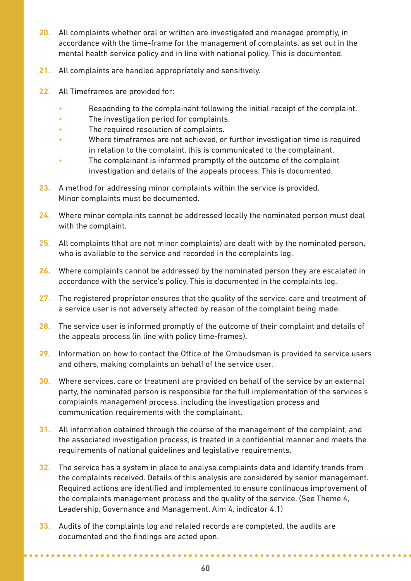- **20.** All complaints whether oral or written are investigated and managed promptly, in accordance with the time-frame for the management of complaints, as set out in the mental health service policy and in line with national policy. This is documented.
- **21.** All complaints are handled appropriately and sensitively.
- **22.** All Timeframes are provided for:
	- Responding to the complainant following the initial receipt of the complaint.
	- The investigation period for complaints.
	- The required resolution of complaints.
	- Where timeframes are not achieved, or further investigation time is required in relation to the complaint, this is communicated to the complainant.
	- The complainant is informed promptly of the outcome of the complaint investigation and details of the appeals process. This is documented.
- **23.** A method for addressing minor complaints within the service is provided. Minor complaints must be documented.
- **24.** Where minor complaints cannot be addressed locally the nominated person must deal with the complaint.
- **25.** All complaints (that are not minor complaints) are dealt with by the nominated person, who is available to the service and recorded in the complaints log.
- **26.** Where complaints cannot be addressed by the nominated person they are escalated in accordance with the service's policy. This is documented in the complaints log.
- **27.** The registered proprietor ensures that the quality of the service, care and treatment of a service user is not adversely affected by reason of the complaint being made.
- **28.** The service user is informed promptly of the outcome of their complaint and details of the appeals process (in line with policy time-frames).
- **29.** Information on how to contact the Office of the Ombudsman is provided to service users and others, making complaints on behalf of the service user.
- **30.** Where services, care or treatment are provided on behalf of the service by an external party, the nominated person is responsible for the full implementation of the services's complaints management process, including the investigation process and communication requirements with the complainant.
- **31.** All information obtained through the course of the management of the complaint, and the associated investigation process, is treated in a confidential manner and meets the requirements of national guidelines and legislative requirements.
- **32.** The service has a system in place to analyse complaints data and identify trends from the complaints received. Details of this analysis are considered by senior management. Required actions are identified and implemented to ensure continuous improvement of the complaints management process and the quality of the service. (See Theme 4, Leadership, Governance and Management, Aim 4, indicator 4.1)
- **33.** Audits of the complaints log and related records are completed, the audits are documented and the findings are acted upon.

. . . . . . . . . . . . . .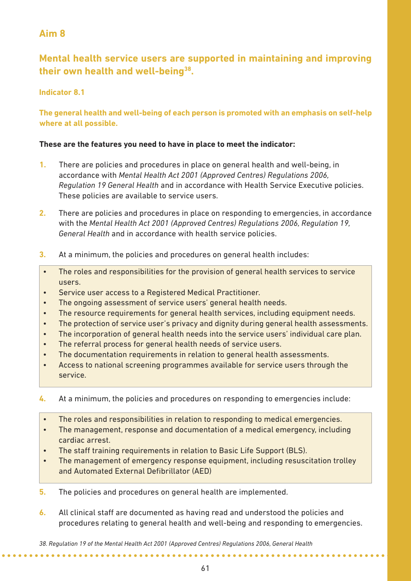# **Mental health service users are supported in maintaining and improving their own health and well-being38.**

#### **Indicator 8.1**

#### **The general health and well-being of each person is promoted with an emphasis on self-help where at all possible.**

#### **These are the features you need to have in place to meet the indicator:**

- **1.** There are policies and procedures in place on general health and well-being, in accordance with *Mental Health Act 2001 (Approved Centres) Regulations 2006, Regulation 19 General Health* and in accordance with Health Service Executive policies. These policies are available to service users.
- **2.** There are policies and procedures in place on responding to emergencies, in accordance with the *Mental Health Act 2001 (Approved Centres) Regulations 2006, Regulation 19, General Health* and in accordance with health service policies.
- **3.** At a minimum, the policies and procedures on general health includes:
- The roles and responsibilities for the provision of general health services to service users.
- Service user access to a Registered Medical Practitioner.
- The ongoing assessment of service users' general health needs.
- The resource requirements for general health services, including equipment needs.
- The protection of service user's privacy and dignity during general health assessments.
- The incorporation of general health needs into the service users' individual care plan.
- The referral process for general health needs of service users.
- The documentation requirements in relation to general health assessments.
- Access to national screening programmes available for service users through the service.
- **4.** At a minimum, the policies and procedures on responding to emergencies include:
- The roles and responsibilities in relation to responding to medical emergencies.
- The management, response and documentation of a medical emergency, including cardiac arrest.
- The staff training requirements in relation to Basic Life Support (BLS).
- The management of emergency response equipment, including resuscitation trolley and Automated External Defibrillator (AED)
- **5.** The policies and procedures on general health are implemented.
- **6.** All clinical staff are documented as having read and understood the policies and procedures relating to general health and well-being and responding to emergencies.

*<sup>38.</sup> Regulation 19 of the Mental Health Act 2001 (Approved Centres) Regulations 2006, General Health*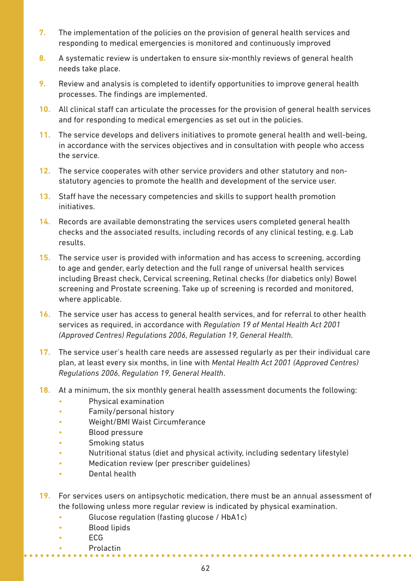- **7.** The implementation of the policies on the provision of general health services and responding to medical emergencies is monitored and continuously improved
- **8.** A systematic review is undertaken to ensure six-monthly reviews of general health needs take place.
- **9.** Review and analysis is completed to identify opportunities to improve general health processes. The findings are implemented.
- **10.** All clinical staff can articulate the processes for the provision of general health services and for responding to medical emergencies as set out in the policies.
- **11.** The service develops and delivers initiatives to promote general health and well-being, in accordance with the services objectives and in consultation with people who access the service.
- **12.** The service cooperates with other service providers and other statutory and nonstatutory agencies to promote the health and development of the service user.
- **13.** Staff have the necessary competencies and skills to support health promotion initiatives.
- **14.** Records are available demonstrating the services users completed general health checks and the associated results, including records of any clinical testing, e.g. Lab results.
- **15.** The service user is provided with information and has access to screening, according to age and gender, early detection and the full range of universal health services including Breast check, Cervical screening, Retinal checks (for diabetics only) Bowel screening and Prostate screening. Take up of screening is recorded and monitored, where applicable.
- **16.** The service user has access to general health services, and for referral to other health services as required, in accordance with *Regulation 19 of Mental Health Act 2001 (Approved Centres) Regulations 2006, Regulation 19, General Health*.
- **17.** The service user's health care needs are assessed regularly as per their individual care plan, at least every six months, in line with *Mental Health Act 2001 (Approved Centres) Regulations 2006, Regulation 19, General Health*.
- **18.** At a minimum, the six monthly general health assessment documents the following:
	- Physical examination
	- Family/personal history
	- Weight/BMI Waist Circumferance
	- Blood pressure
	- Smoking status
	- Nutritional status (diet and physical activity, including sedentary lifestyle)
	- Medication review (per prescriber guidelines)
	- Dental health
- **19.** For services users on antipsychotic medication, there must be an annual assessment of the following unless more regular review is indicated by physical examination.
	- Glucose regulation (fasting glucose / HbA1c)
	- Blood lipids
	- ECG
		- Prolactin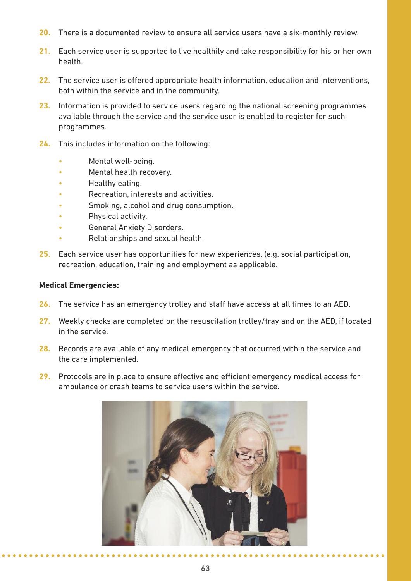- **20.** There is a documented review to ensure all service users have a six-monthly review.
- **21.** Each service user is supported to live healthily and take responsibility for his or her own health.
- **22.** The service user is offered appropriate health information, education and interventions, both within the service and in the community.
- **23.** Information is provided to service users regarding the national screening programmes available through the service and the service user is enabled to register for such programmes.
- **24.** This includes information on the following:
	- Mental well-being.
	- Mental health recovery.
	- Healthy eating.
	- Recreation, interests and activities.
	- Smoking, alcohol and drug consumption.
	- Physical activity.
	- General Anxiety Disorders.
	- Relationships and sexual health.
- **25.** Each service user has opportunities for new experiences, (e.g. social participation, recreation, education, training and employment as applicable.

#### **Medical Emergencies:**

- **26.** The service has an emergency trolley and staff have access at all times to an AED.
- **27.** Weekly checks are completed on the resuscitation trolley/tray and on the AED, if located in the service.
- **28.** Records are available of any medical emergency that occurred within the service and the care implemented.
- **29.** Protocols are in place to ensure effective and efficient emergency medical access for ambulance or crash teams to service users within the service.